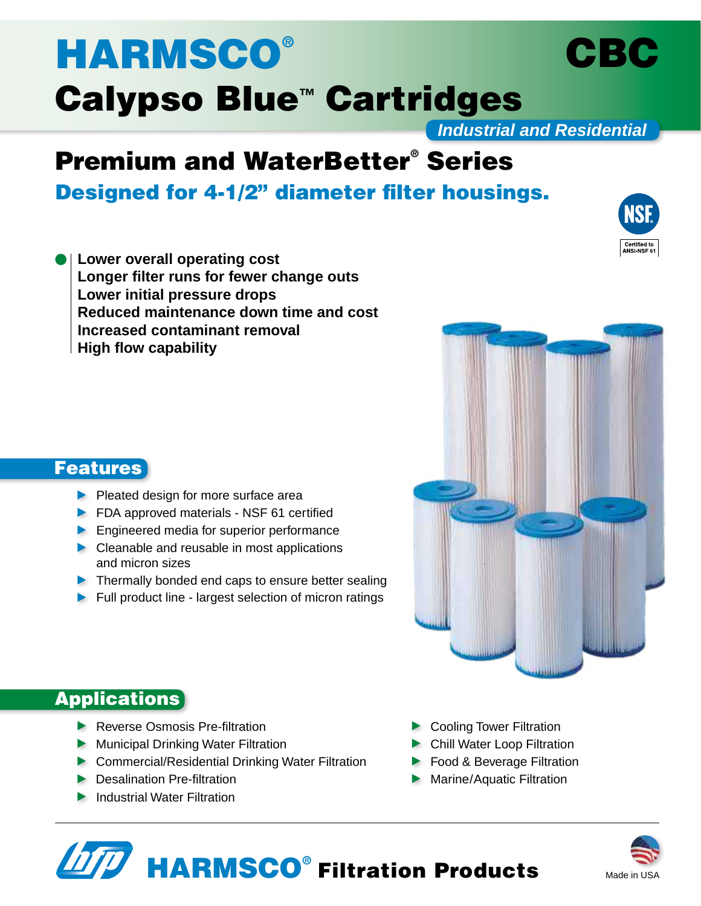# **HARMSCO®** Calypso Blue™ Cartridges

*Industrial and Residential*

## Premium and WaterBetter® Series

Designed for 4-1/2" diameter filter housings.

**Lower overall operating cost Longer filter runs for fewer change outs Lower initial pressure drops Reduced maintenance down time and cost Increased contaminant removal High flow capability**



CBC



## **Features**

- $\blacktriangleright$  Pleated design for more surface area
- **FDA approved materials NSF 61 certified**
- **Engineered media for superior performance**
- Cleanable and reusable in most applications and micron sizes
- Thermally bonded end caps to ensure better sealing
- Full product line largest selection of micron ratings

## **Applications**

- Reverse Osmosis Pre-filtration
- **Municipal Drinking Water Filtration**
- ▶ Commercial/Residential Drinking Water Filtration
- **Desalination Pre-filtration**
- **Industrial Water Filtration**
- Cooling Tower Filtration
- ▶ Chill Water Loop Filtration
- **Food & Beverage Filtration**
- **Marine/Aquatic Filtration**



# HARMSCO® Filtration Products